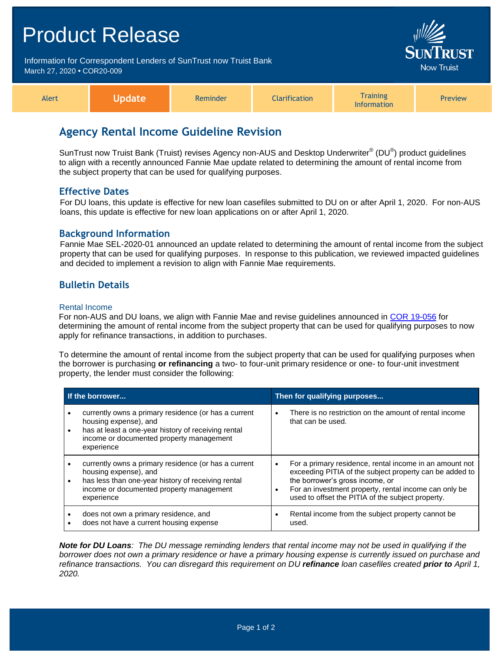# Product Release Information for Correspondent Lenders of SunTrust now Truist Bank March 27, 2020 **•** COR20-009 Alert **Update** Reminder **Clarification Training** Information Preview

# **Agency Rental Income Guideline Revision**

SunTrust now Truist Bank (Truist) revises Agency non-AUS and Desktop Underwriter® (DU®) product guidelines to align with a recently announced Fannie Mae update related to determining the amount of rental income from the subject property that can be used for qualifying purposes.

### **Effective Dates**

For DU loans, this update is effective for new loan casefiles submitted to DU on or after April 1, 2020. For non-AUS loans, this update is effective for new loan applications on or after April 1, 2020.

### **Background Information**

Fannie Mae SEL-2020-01 announced an update related to determining the amount of rental income from the subject property that can be used for qualifying purposes. In response to this publication, we reviewed impacted guidelines and decided to implement a revision to align with Fannie Mae requirements.

## **Bulletin Details**

### Rental Income

For non-AUS and DU loans, we align with Fannie Mae and revise guidelines announced in [COR 19-056](https://www.truistsellerguide.com/Manual/cor/bulletins/archive/Cr19-056.pdf) for determining the amount of rental income from the subject property that can be used for qualifying purposes to now apply for refinance transactions, in addition to purchases.

To determine the amount of rental income from the subject property that can be used for qualifying purposes when the borrower is purchasing **or refinancing** a two- to four-unit primary residence or one- to four-unit investment property, the lender must consider the following:

| If the borrower |                                                                                                                                                                                                | Then for qualifying purposes |                                                                                                                                                                                                                                                                     |
|-----------------|------------------------------------------------------------------------------------------------------------------------------------------------------------------------------------------------|------------------------------|---------------------------------------------------------------------------------------------------------------------------------------------------------------------------------------------------------------------------------------------------------------------|
| $\bullet$       | currently owns a primary residence (or has a current<br>housing expense), and<br>has at least a one-year history of receiving rental<br>income or documented property management<br>experience | $\bullet$                    | There is no restriction on the amount of rental income<br>that can be used.                                                                                                                                                                                         |
| ٠               | currently owns a primary residence (or has a current<br>housing expense), and<br>has less than one-year history of receiving rental<br>income or documented property management<br>experience  | $\bullet$<br>$\bullet$       | For a primary residence, rental income in an amount not<br>exceeding PITIA of the subject property can be added to<br>the borrower's gross income, or<br>For an investment property, rental income can only be<br>used to offset the PITIA of the subject property. |
|                 | does not own a primary residence, and<br>does not have a current housing expense                                                                                                               | ٠                            | Rental income from the subject property cannot be<br>used.                                                                                                                                                                                                          |

*Note for DU Loans: The DU message reminding lenders that rental income may not be used in qualifying if the borrower does not own a primary residence or have a primary housing expense is currently issued on purchase and refinance transactions. You can disregard this requirement on DU refinance loan casefiles created prior to April 1, 2020.*